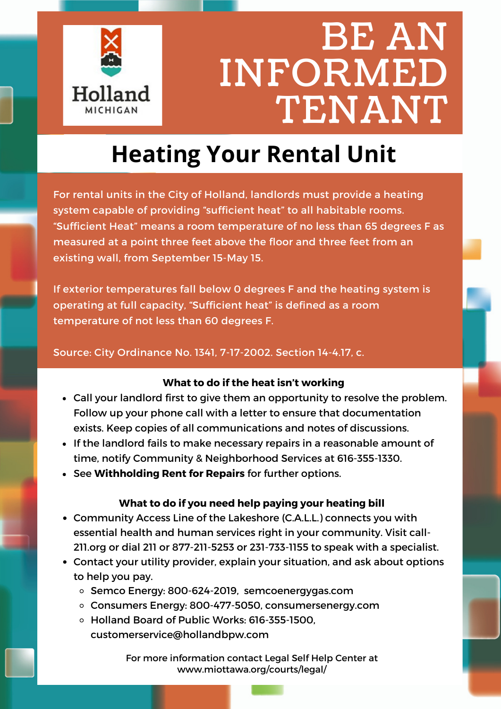

## **Heating Your Rental Unit**

For rental units in the City of Holland, landlords must provide a heating system capable of providing "sufficient heat" to all habitable rooms. "Sufficient Heat" means a room temperature of no less than 65 degrees F as measured at a point three feet above the floor and three feet from an existing wall, from September 15-May 15.

If exterior temperatures fall below 0 degrees F and the heating system is operating at full capacity, "Sufficient heat" is defined as a room temperature of not less than 60 degrees F.

#### Source: City Ordinance No. 1341, 7-17-2002. Section 14-4.17, c.

### **What to do if the heat isn't working**

- Call your landlord first to give them an opportunity to resolve the problem. Follow up your phone call with a letter to ensure that documentation exists. Keep copies of all communications and notes of discussions.
- If the landlord fails to make necessary repairs in a reasonable amount of time, notify Community & Neighborhood Services at 616-355-1330.
- See **Withholding Rent for Repairs** for further options.

### **What to do if you need help paying your heating bill**

- Community Access Line of the Lakeshore (C.A.L.L.) connects you with essential health and human services right in your community. Visit call-211.org or dial 211 or 877-211-5253 or 231-733-1155 to speak with a specialist.
- Contact your utility provider, explain your situation, and ask about options to help you pay.
	- o Semco Energy: 800-624-2019, semcoenergygas.com
	- Consumers Energy: 800-477-5050, consumersenergy.com
	- Holland Board of Public Works: 616-355-1500, customerservice@hollandbpw.com

For more information contact Legal Self Help Center at [www.miottawa.org/courts/legal/](https://www.miottawa.org/courts/legal/)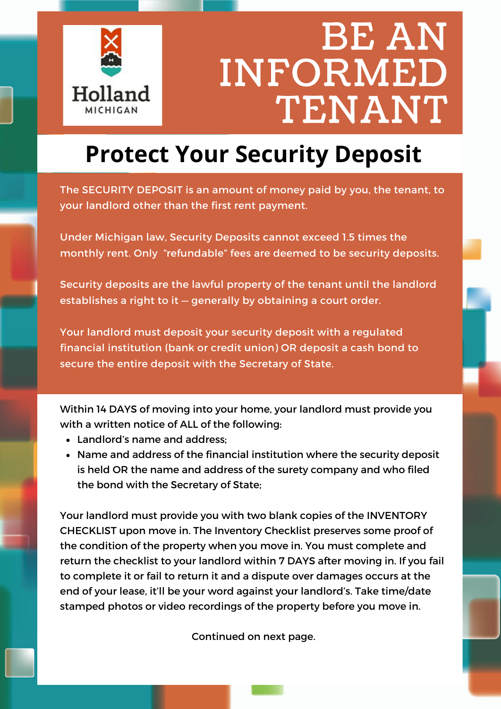

### **Protect Your Security Deposit**

The SECURITY DEPOSIT is an amount of money paid by you, the tenant, to your landlord other than the first rent payment.

Under Michigan law, Security Deposits cannot exceed 1.5 times the monthly rent. Only "refundable" fees are deemed to be security deposits.

Security deposits are the lawful property of the tenant until the landlord establishes a right to it — generally by obtaining a court order.

Your landlord must deposit your security deposit with a regulated financial institution (bank or credit union) OR deposit a cash bond to secure the entire deposit with the Secretary of State.

Within 14 DAYS of moving into your home, your landlord must provide you with a written notice of ALL of the following:

- Landlord's name and address;
- Name and address of the financial institution where the security deposit is held OR the name and address of the surety company and who filed the bond with the Secretary of State;

Your landlord must provide you with two blank copies of the INVENTORY CHECKLIST upon move in. The Inventory Checklist preserves some proof of the condition of the property when you move in. You must complete and return the checklist to your landlord within 7 DAYS after moving in. If you fail to complete it or fail to return it and a dispute over damages occurs at the end of your lease, it'll be your word against your landlord's. Take time/date stamped photos or video recordings of the property before you move in.

Continued on next page.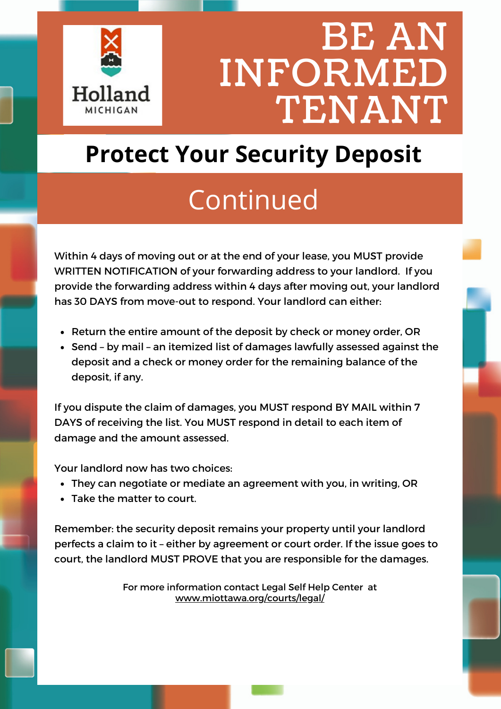

### **Protect Your Security Deposit**

## Continued

Within 4 days of moving out or at the end of your lease, you MUST provide WRITTEN NOTIFICATION of your forwarding address to your landlord. If you provide the forwarding address within 4 days after moving out, your landlord has 30 DAYS from move-out to respond. Your landlord can either:

- Return the entire amount of the deposit by check or money order, OR
- Send by mail an itemized list of damages lawfully assessed against the deposit and a check or money order for the remaining balance of the deposit, if any.

If you dispute the claim of damages, you MUST respond BY MAIL within 7 DAYS of receiving the list. You MUST respond in detail to each item of damage and the amount assessed.

Your landlord now has two choices:

- They can negotiate or mediate an agreement with you, in writing, OR
- Take the matter to court.

Remember: the security deposit remains your property until your landlord perfects a claim to it – either by agreement or court order. If the issue goes to court, the landlord MUST PROVE that you are responsible for the damages.

> For more information contact Legal Self Help Center at [www.miottawa.org/courts/legal/](https://www.miottawa.org/courts/legal/)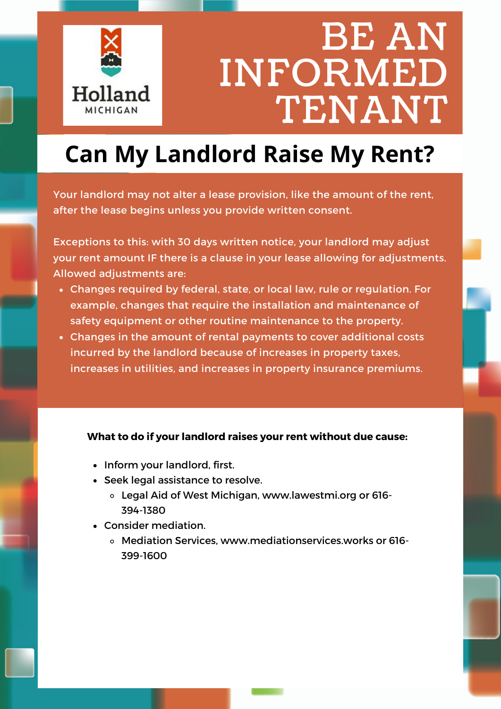

### **Can My Landlord Raise My Rent?**

Your landlord may not alter a lease provision, like the amount of the rent, after the lease begins unless you provide written consent.

Exceptions to this: with 30 days written notice, your landlord may adjust your rent amount IF there is a clause in your lease allowing for adjustments. Allowed adjustments are:

- Changes required by federal, state, or local law, rule or regulation. For example, changes that require the installation and maintenance of safety equipment or other routine maintenance to the property.
- Changes in the amount of rental payments to cover additional costs incurred by the landlord because of increases in property taxes, increases in utilities, and increases in property insurance premiums.

#### **What to do if your landlord raises your rent without due cause:**

- Inform your landlord, first.
- Seek legal assistance to resolve.
	- Legal Aid of West Michigan, www.lawestmi.org or 616- 394-1380
- Consider mediation.
	- Mediation Services, www.mediationservices.works or 616- 399-1600